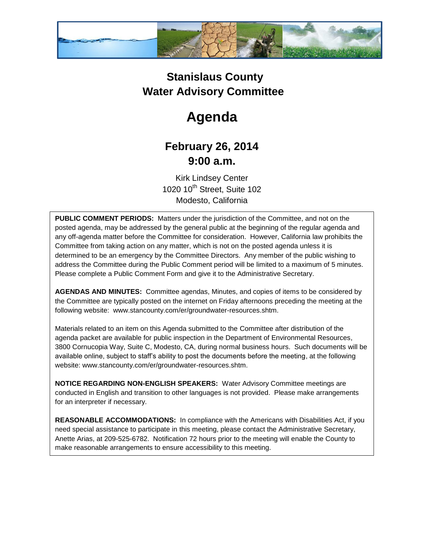

## **Stanislaus County Water Advisory Committee**

## **Agenda**

## **February 26, 2014 9:00 a.m.**

Kirk Lindsey Center 1020 10<sup>th</sup> Street, Suite 102 Modesto, California

**PUBLIC COMMENT PERIODS:** Matters under the jurisdiction of the Committee, and not on the posted agenda, may be addressed by the general public at the beginning of the regular agenda and any off-agenda matter before the Committee for consideration. However, California law prohibits the Committee from taking action on any matter, which is not on the posted agenda unless it is determined to be an emergency by the Committee Directors. Any member of the public wishing to address the Committee during the Public Comment period will be limited to a maximum of 5 minutes. Please complete a Public Comment Form and give it to the Administrative Secretary.

**AGENDAS AND MINUTES:** Committee agendas, Minutes, and copies of items to be considered by the Committee are typically posted on the internet on Friday afternoons preceding the meeting at the following website: www.stancounty.com/er/groundwater-resources.shtm.

Materials related to an item on this Agenda submitted to the Committee after distribution of the agenda packet are available for public inspection in the Department of Environmental Resources, 3800 Cornucopia Way, Suite C, Modesto, CA, during normal business hours. Such documents will be available online, subject to staff's ability to post the documents before the meeting, at the following website: www.stancounty.com/er/groundwater-resources.shtm.

**NOTICE REGARDING NON-ENGLISH SPEAKERS:** Water Advisory Committee meetings are conducted in English and transition to other languages is not provided. Please make arrangements for an interpreter if necessary.

**REASONABLE ACCOMMODATIONS:** In compliance with the Americans with Disabilities Act, if you need special assistance to participate in this meeting, please contact the Administrative Secretary, Anette Arias, at 209-525-6782. Notification 72 hours prior to the meeting will enable the County to make reasonable arrangements to ensure accessibility to this meeting.